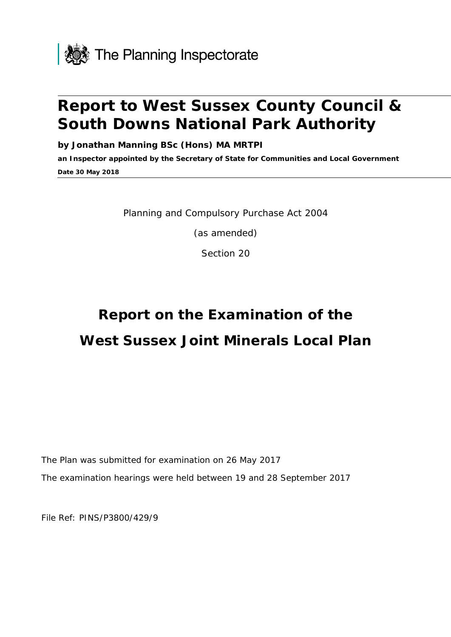

## **Report to West Sussex County Council & South Downs National Park Authority**

**by Jonathan Manning BSc (Hons) MA MRTPI**

**an Inspector appointed by the Secretary of State for Communities and Local Government Date 30 May 2018**

Planning and Compulsory Purchase Act 2004

(as amended)

Section 20

# **Report on the Examination of the West Sussex Joint Minerals Local Plan**

The Plan was submitted for examination on 26 May 2017

The examination hearings were held between 19 and 28 September 2017

File Ref: PINS/P3800/429/9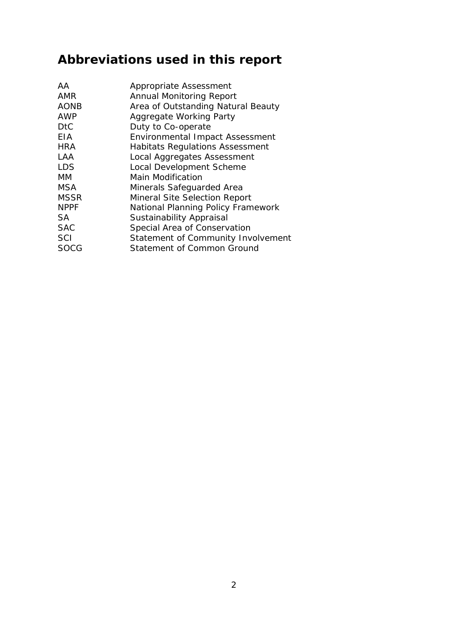## **Abbreviations used in this report**

| AA          | Appropriate Assessment                 |
|-------------|----------------------------------------|
| AMR         | <b>Annual Monitoring Report</b>        |
| <b>AONB</b> | Area of Outstanding Natural Beauty     |
| <b>AWP</b>  | Aggregate Working Party                |
| <b>DtC</b>  | Duty to Co-operate                     |
| <b>FIA</b>  | <b>Environmental Impact Assessment</b> |
| <b>HRA</b>  | <b>Habitats Regulations Assessment</b> |
| LAA         | Local Aggregates Assessment            |
| <b>LDS</b>  | Local Development Scheme               |
| MМ          | Main Modification                      |
| MSA         | Minerals Safeguarded Area              |
| <b>MSSR</b> | Mineral Site Selection Report          |
| <b>NPPF</b> | National Planning Policy Framework     |
| SА          | <b>Sustainability Appraisal</b>        |
| <b>SAC</b>  | Special Area of Conservation           |
| <b>SCI</b>  | Statement of Community Involvement     |
| SOCG        | Statement of Common Ground             |
|             |                                        |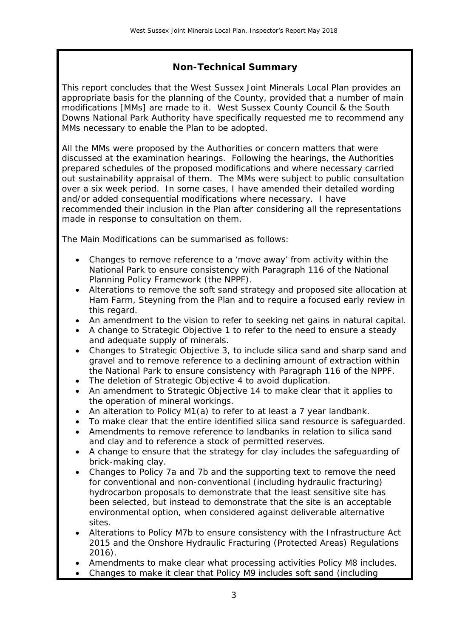### **Non-Technical Summary**

This report concludes that the West Sussex Joint Minerals Local Plan provides an appropriate basis for the planning of the County, provided that a number of main modifications [MMs] are made to it. West Sussex County Council & the South Downs National Park Authority have specifically requested me to recommend any MMs necessary to enable the Plan to be adopted.

All the MMs were proposed by the Authorities or concern matters that were discussed at the examination hearings. Following the hearings, the Authorities prepared schedules of the proposed modifications and where necessary carried out sustainability appraisal of them. The MMs were subject to public consultation over a six week period. In some cases, I have amended their detailed wording and/or added consequential modifications where necessary. I have recommended their inclusion in the Plan after considering all the representations made in response to consultation on them.

The Main Modifications can be summarised as follows:

- Changes to remove reference to a 'move away' from activity within the National Park to ensure consistency with Paragraph 116 of the National Planning Policy Framework (the NPPF).
- Alterations to remove the soft sand strategy and proposed site allocation at Ham Farm, Steyning from the Plan and to require a focused early review in this regard.
- An amendment to the vision to refer to seeking net gains in natural capital.
- A change to Strategic Objective 1 to refer to the need to ensure a steady and adequate supply of minerals.
- Changes to Strategic Objective 3, to include silica sand and sharp sand and gravel and to remove reference to a declining amount of extraction within the National Park to ensure consistency with Paragraph 116 of the NPPF.
- The deletion of Strategic Objective 4 to avoid duplication.
- An amendment to Strategic Objective 14 to make clear that it applies to the operation of mineral workings.
- An alteration to Policy M1(a) to refer to at least a 7 year landbank.
- To make clear that the entire identified silica sand resource is safeguarded.
- Amendments to remove reference to landbanks in relation to silica sand and clay and to reference a stock of permitted reserves.
- A change to ensure that the strategy for clay includes the safeguarding of brick-making clay.
- Changes to Policy 7a and 7b and the supporting text to remove the need for conventional and non-conventional (including hydraulic fracturing) hydrocarbon proposals to demonstrate that the least sensitive site has been selected, but instead to demonstrate that the site is an acceptable environmental option, when considered against deliverable alternative sites.
- Alterations to Policy M7b to ensure consistency with the Infrastructure Act 2015 and the Onshore Hydraulic Fracturing (Protected Areas) Regulations 2016).
- Amendments to make clear what processing activities Policy M8 includes.
- Changes to make it clear that Policy M9 includes soft sand (including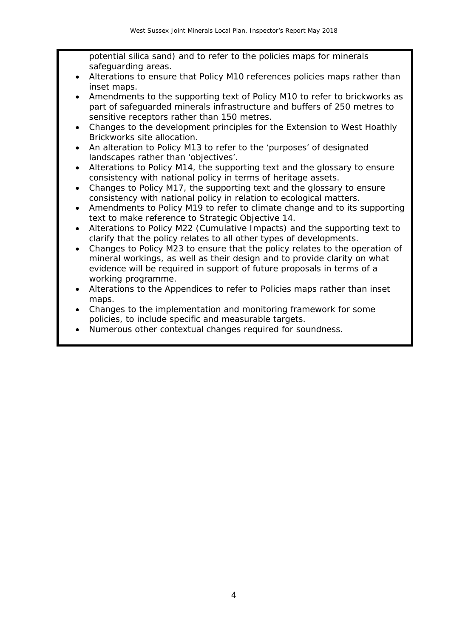potential silica sand) and to refer to the policies maps for minerals safeguarding areas.

- Alterations to ensure that Policy M10 references policies maps rather than inset maps.
- Amendments to the supporting text of Policy M10 to refer to brickworks as part of safeguarded minerals infrastructure and buffers of 250 metres to sensitive receptors rather than 150 metres.
- Changes to the development principles for the Extension to West Hoathly Brickworks site allocation.
- An alteration to Policy M13 to refer to the 'purposes' of designated landscapes rather than 'objectives'.
- Alterations to Policy M14, the supporting text and the glossary to ensure consistency with national policy in terms of heritage assets.
- Changes to Policy M17, the supporting text and the glossary to ensure consistency with national policy in relation to ecological matters.
- Amendments to Policy M19 to refer to climate change and to its supporting text to make reference to Strategic Objective 14.
- Alterations to Policy M22 (Cumulative Impacts) and the supporting text to clarify that the policy relates to all other types of developments.
- Changes to Policy M23 to ensure that the policy relates to the operation of mineral workings, as well as their design and to provide clarity on what evidence will be required in support of future proposals in terms of a working programme.
- Alterations to the Appendices to refer to Policies maps rather than inset maps.
- Changes to the implementation and monitoring framework for some policies, to include specific and measurable targets.
- Numerous other contextual changes required for soundness.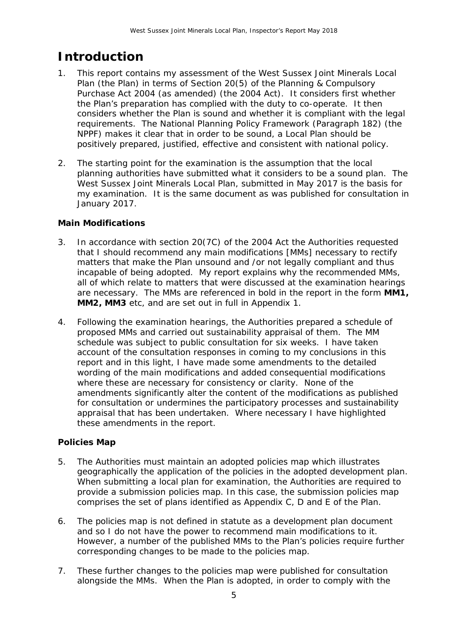## **Introduction**

- 1. This report contains my assessment of the West Sussex Joint Minerals Local Plan (the Plan) in terms of Section 20(5) of the Planning & Compulsory Purchase Act 2004 (as amended) (the 2004 Act). It considers first whether the Plan's preparation has complied with the duty to co-operate. It then considers whether the Plan is sound and whether it is compliant with the legal requirements. The National Planning Policy Framework (Paragraph 182) (the NPPF) makes it clear that in order to be sound, a Local Plan should be positively prepared, justified, effective and consistent with national policy.
- 2. The starting point for the examination is the assumption that the local planning authorities have submitted what it considers to be a sound plan. The West Sussex Joint Minerals Local Plan, submitted in May 2017 is the basis for my examination. It is the same document as was published for consultation in January 2017.

#### **Main Modifications**

- 3. In accordance with section 20(7C) of the 2004 Act the Authorities requested that I should recommend any main modifications [MMs] necessary to rectify matters that make the Plan unsound and /or not legally compliant and thus incapable of being adopted. My report explains why the recommended MMs, all of which relate to matters that were discussed at the examination hearings are necessary. The MMs are referenced in bold in the report in the form **MM1, MM2, MM3** etc, and are set out in full in Appendix 1.
- 4. Following the examination hearings, the Authorities prepared a schedule of proposed MMs and carried out sustainability appraisal of them. The MM schedule was subject to public consultation for six weeks. I have taken account of the consultation responses in coming to my conclusions in this report and in this light, I have made some amendments to the detailed wording of the main modifications and added consequential modifications where these are necessary for consistency or clarity. None of the amendments significantly alter the content of the modifications as published for consultation or undermines the participatory processes and sustainability appraisal that has been undertaken. Where necessary I have highlighted these amendments in the report.

#### **Policies Map**

- 5. The Authorities must maintain an adopted policies map which illustrates geographically the application of the policies in the adopted development plan. When submitting a local plan for examination, the Authorities are required to provide a submission policies map. In this case, the submission policies map comprises the set of plans identified as Appendix C, D and E of the Plan.
- 6. The policies map is not defined in statute as a development plan document and so I do not have the power to recommend main modifications to it. However, a number of the published MMs to the Plan's policies require further corresponding changes to be made to the policies map.
- 7. These further changes to the policies map were published for consultation alongside the MMs. When the Plan is adopted, in order to comply with the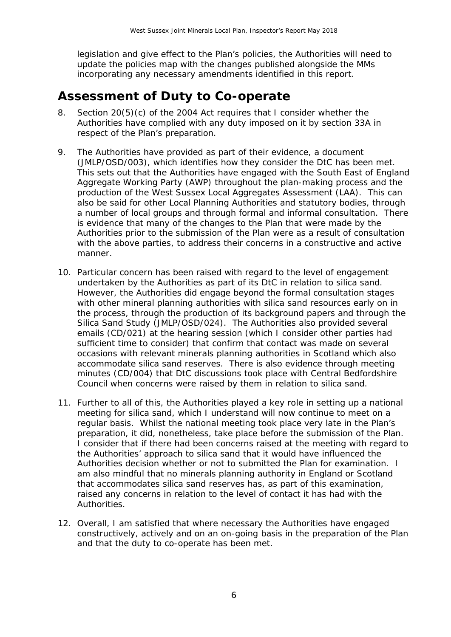legislation and give effect to the Plan's policies, the Authorities will need to update the policies map with the changes published alongside the MMs incorporating any necessary amendments identified in this report.

## **Assessment of Duty to Co-operate**

- 8. Section 20(5)(c) of the 2004 Act requires that I consider whether the Authorities have complied with any duty imposed on it by section 33A in respect of the Plan's preparation.
- 9. The Authorities have provided as part of their evidence, a document (JMLP/OSD/003), which identifies how they consider the DtC has been met. This sets out that the Authorities have engaged with the South East of England Aggregate Working Party (AWP) throughout the plan-making process and the production of the West Sussex Local Aggregates Assessment (LAA). This can also be said for other Local Planning Authorities and statutory bodies, through a number of local groups and through formal and informal consultation. There is evidence that many of the changes to the Plan that were made by the Authorities prior to the submission of the Plan were as a result of consultation with the above parties, to address their concerns in a constructive and active manner.
- 10. Particular concern has been raised with regard to the level of engagement undertaken by the Authorities as part of its DtC in relation to silica sand. However, the Authorities did engage beyond the formal consultation stages with other mineral planning authorities with silica sand resources early on in the process, through the production of its background papers and through the Silica Sand Study (JMLP/OSD/024). The Authorities also provided several emails (CD/021) at the hearing session (which I consider other parties had sufficient time to consider) that confirm that contact was made on several occasions with relevant minerals planning authorities in Scotland which also accommodate silica sand reserves. There is also evidence through meeting minutes (CD/004) that DtC discussions took place with Central Bedfordshire Council when concerns were raised by them in relation to silica sand.
- 11. Further to all of this, the Authorities played a key role in setting up a national meeting for silica sand, which I understand will now continue to meet on a regular basis. Whilst the national meeting took place very late in the Plan's preparation, it did, nonetheless, take place before the submission of the Plan. I consider that if there had been concerns raised at the meeting with regard to the Authorities' approach to silica sand that it would have influenced the Authorities decision whether or not to submitted the Plan for examination. I am also mindful that no minerals planning authority in England or Scotland that accommodates silica sand reserves has, as part of this examination, raised any concerns in relation to the level of contact it has had with the Authorities.
- 12. Overall, I am satisfied that where necessary the Authorities have engaged constructively, actively and on an on-going basis in the preparation of the Plan and that the duty to co-operate has been met.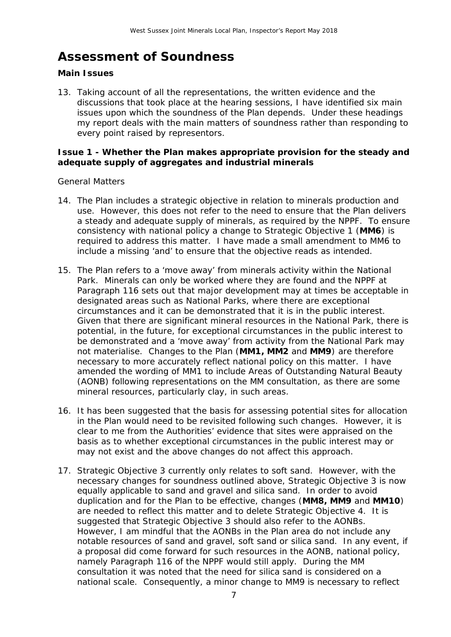## **Assessment of Soundness**

#### **Main Issues**

13. Taking account of all the representations, the written evidence and the discussions that took place at the hearing sessions, I have identified six main issues upon which the soundness of the Plan depends. Under these headings my report deals with the main matters of soundness rather than responding to every point raised by representors.

#### **Issue 1 - Whether the Plan makes appropriate provision for the steady and adequate supply of aggregates and industrial minerals**

#### *General Matters*

- 14. The Plan includes a strategic objective in relation to minerals production and use. However, this does not refer to the need to ensure that the Plan delivers a steady and adequate supply of minerals, as required by the NPPF. To ensure consistency with national policy a change to Strategic Objective 1 (**MM6**) is required to address this matter. I have made a small amendment to MM6 to include a missing 'and' to ensure that the objective reads as intended.
- 15. The Plan refers to a 'move away' from minerals activity within the National Park. Minerals can only be worked where they are found and the NPPF at Paragraph 116 sets out that major development may at times be acceptable in designated areas such as National Parks, where there are exceptional circumstances and it can be demonstrated that it is in the public interest. Given that there are significant mineral resources in the National Park, there is potential, in the future, for exceptional circumstances in the public interest to be demonstrated and a 'move away' from activity from the National Park may not materialise. Changes to the Plan (**MM1, MM2** and **MM9**) are therefore necessary to more accurately reflect national policy on this matter. I have amended the wording of MM1 to include Areas of Outstanding Natural Beauty (AONB) following representations on the MM consultation, as there are some mineral resources, particularly clay, in such areas.
- 16. It has been suggested that the basis for assessing potential sites for allocation in the Plan would need to be revisited following such changes. However, it is clear to me from the Authorities' evidence that sites were appraised on the basis as to whether exceptional circumstances in the public interest may or may not exist and the above changes do not affect this approach.
- 17. Strategic Objective 3 currently only relates to soft sand. However, with the necessary changes for soundness outlined above, Strategic Objective 3 is now equally applicable to sand and gravel and silica sand. In order to avoid duplication and for the Plan to be effective, changes (**MM8, MM9** and **MM10**) are needed to reflect this matter and to delete Strategic Objective 4. It is suggested that Strategic Objective 3 should also refer to the AONBs. However, I am mindful that the AONBs in the Plan area do not include any notable resources of sand and gravel, soft sand or silica sand. In any event, if a proposal did come forward for such resources in the AONB, national policy, namely Paragraph 116 of the NPPF would still apply. During the MM consultation it was noted that the need for silica sand is considered on a national scale. Consequently, a minor change to MM9 is necessary to reflect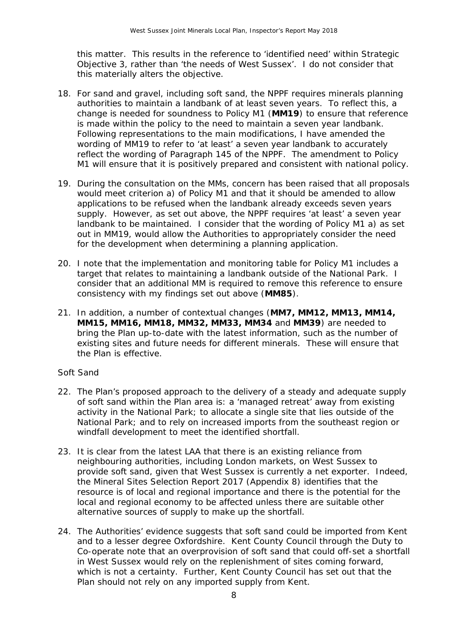this matter. This results in the reference to 'identified need' within Strategic Objective 3, rather than 'the needs of West Sussex'. I do not consider that this materially alters the objective.

- 18. For sand and gravel, including soft sand, the NPPF requires minerals planning authorities to maintain a landbank of at least seven years. To reflect this, a change is needed for soundness to Policy M1 (**MM19**) to ensure that reference is made within the policy to the need to maintain a seven year landbank. Following representations to the main modifications, I have amended the wording of MM19 to refer to 'at least' a seven year landbank to accurately reflect the wording of Paragraph 145 of the NPPF. The amendment to Policy M1 will ensure that it is positively prepared and consistent with national policy.
- 19. During the consultation on the MMs, concern has been raised that all proposals would meet criterion a) of Policy M1 and that it should be amended to allow applications to be refused when the landbank already exceeds seven years supply. However, as set out above, the NPPF requires 'at least' a seven year landbank to be maintained. I consider that the wording of Policy M1 a) as set out in MM19, would allow the Authorities to appropriately consider the need for the development when determining a planning application.
- 20. I note that the implementation and monitoring table for Policy M1 includes a target that relates to maintaining a landbank outside of the National Park. I consider that an additional MM is required to remove this reference to ensure consistency with my findings set out above (**MM85**).
- 21. In addition, a number of contextual changes (**MM7, MM12, MM13, MM14, MM15, MM16, MM18, MM32, MM33, MM34** and **MM39**) are needed to bring the Plan up-to-date with the latest information, such as the number of existing sites and future needs for different minerals. These will ensure that the Plan is effective.

#### *Soft Sand*

- 22. The Plan's proposed approach to the delivery of a steady and adequate supply of soft sand within the Plan area is: a 'managed retreat' away from existing activity in the National Park; to allocate a single site that lies outside of the National Park; and to rely on increased imports from the southeast region or windfall development to meet the identified shortfall.
- 23. It is clear from the latest LAA that there is an existing reliance from neighbouring authorities, including London markets, on West Sussex to provide soft sand, given that West Sussex is currently a net exporter. Indeed, the Mineral Sites Selection Report 2017 (Appendix 8) identifies that the resource is of local and regional importance and there is the potential for the local and regional economy to be affected unless there are suitable other alternative sources of supply to make up the shortfall.
- 24. The Authorities' evidence suggests that soft sand could be imported from Kent and to a lesser degree Oxfordshire. Kent County Council through the Duty to Co-operate note that an overprovision of soft sand that could off-set a shortfall in West Sussex would rely on the replenishment of sites coming forward, which is not a certainty. Further, Kent County Council has set out that the Plan should not rely on any imported supply from Kent.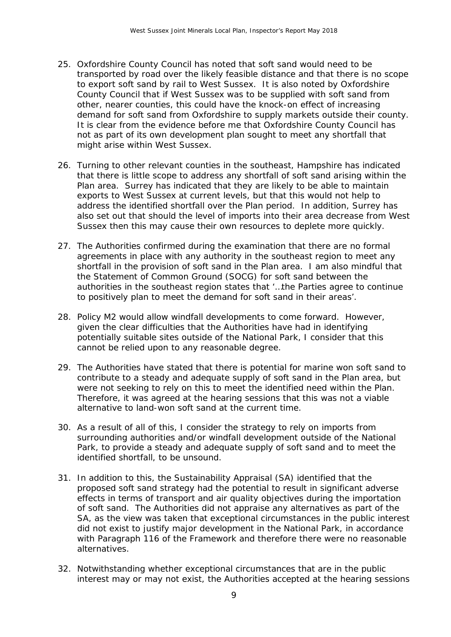- 25. Oxfordshire County Council has noted that soft sand would need to be transported by road over the likely feasible distance and that there is no scope to export soft sand by rail to West Sussex. It is also noted by Oxfordshire County Council that if West Sussex was to be supplied with soft sand from other, nearer counties, this could have the knock-on effect of increasing demand for soft sand from Oxfordshire to supply markets outside their county. It is clear from the evidence before me that Oxfordshire County Council has not as part of its own development plan sought to meet any shortfall that might arise within West Sussex.
- 26. Turning to other relevant counties in the southeast, Hampshire has indicated that there is little scope to address any shortfall of soft sand arising within the Plan area. Surrey has indicated that they are likely to be able to maintain exports to West Sussex at current levels, but that this would not help to address the identified shortfall over the Plan period. In addition, Surrey has also set out that should the level of imports into their area decrease from West Sussex then this may cause their own resources to deplete more quickly.
- 27. The Authorities confirmed during the examination that there are no formal agreements in place with any authority in the southeast region to meet any shortfall in the provision of soft sand in the Plan area. I am also mindful that the Statement of Common Ground (SOCG) for soft sand between the authorities in the southeast region states that *'…the Parties agree to continue to positively plan to meet the demand for soft sand in their areas*'.
- 28. Policy M2 would allow windfall developments to come forward. However, given the clear difficulties that the Authorities have had in identifying potentially suitable sites outside of the National Park, I consider that this cannot be relied upon to any reasonable degree.
- 29. The Authorities have stated that there is potential for marine won soft sand to contribute to a steady and adequate supply of soft sand in the Plan area, but were not seeking to rely on this to meet the identified need within the Plan. Therefore, it was agreed at the hearing sessions that this was not a viable alternative to land-won soft sand at the current time.
- 30. As a result of all of this, I consider the strategy to rely on imports from surrounding authorities and/or windfall development outside of the National Park, to provide a steady and adequate supply of soft sand and to meet the identified shortfall, to be unsound.
- 31. In addition to this, the Sustainability Appraisal (SA) identified that the proposed soft sand strategy had the potential to result in significant adverse effects in terms of transport and air quality objectives during the importation of soft sand. The Authorities did not appraise any alternatives as part of the SA, as the view was taken that exceptional circumstances in the public interest did not exist to justify major development in the National Park, in accordance with Paragraph 116 of the Framework and therefore there were no reasonable alternatives.
- 32. Notwithstanding whether exceptional circumstances that are in the public interest may or may not exist, the Authorities accepted at the hearing sessions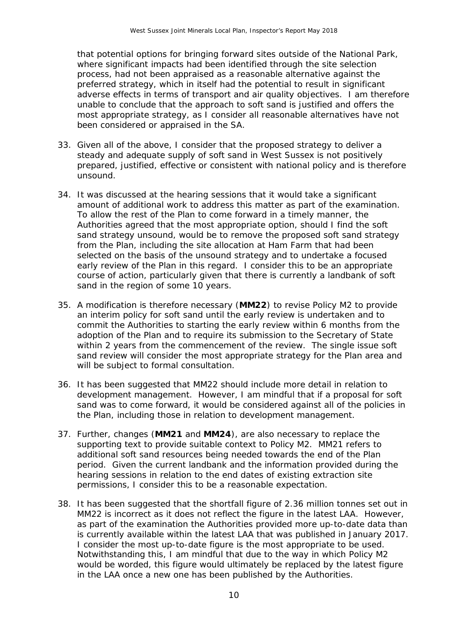that potential options for bringing forward sites outside of the National Park, where significant impacts had been identified through the site selection process, had not been appraised as a reasonable alternative against the preferred strategy, which in itself had the potential to result in significant adverse effects in terms of transport and air quality objectives. I am therefore unable to conclude that the approach to soft sand is justified and offers the most appropriate strategy, as I consider all reasonable alternatives have not been considered or appraised in the SA.

- 33. Given all of the above, I consider that the proposed strategy to deliver a steady and adequate supply of soft sand in West Sussex is not positively prepared, justified, effective or consistent with national policy and is therefore unsound.
- 34. It was discussed at the hearing sessions that it would take a significant amount of additional work to address this matter as part of the examination. To allow the rest of the Plan to come forward in a timely manner, the Authorities agreed that the most appropriate option, should I find the soft sand strategy unsound, would be to remove the proposed soft sand strategy from the Plan, including the site allocation at Ham Farm that had been selected on the basis of the unsound strategy and to undertake a focused early review of the Plan in this regard. I consider this to be an appropriate course of action, particularly given that there is currently a landbank of soft sand in the region of some 10 years.
- 35. A modification is therefore necessary (**MM22**) to revise Policy M2 to provide an interim policy for soft sand until the early review is undertaken and to commit the Authorities to starting the early review within 6 months from the adoption of the Plan and to require its submission to the Secretary of State within 2 years from the commencement of the review. The single issue soft sand review will consider the most appropriate strategy for the Plan area and will be subject to formal consultation.
- 36. It has been suggested that MM22 should include more detail in relation to development management. However, I am mindful that if a proposal for soft sand was to come forward, it would be considered against all of the policies in the Plan, including those in relation to development management.
- 37. Further, changes (**MM21** and **MM24**), are also necessary to replace the supporting text to provide suitable context to Policy M2. MM21 refers to additional soft sand resources being needed towards the end of the Plan period. Given the current landbank and the information provided during the hearing sessions in relation to the end dates of existing extraction site permissions, I consider this to be a reasonable expectation.
- 38. It has been suggested that the shortfall figure of 2.36 million tonnes set out in MM22 is incorrect as it does not reflect the figure in the latest LAA. However, as part of the examination the Authorities provided more up-to-date data than is currently available within the latest LAA that was published in January 2017. I consider the most up-to-date figure is the most appropriate to be used. Notwithstanding this, I am mindful that due to the way in which Policy M2 would be worded, this figure would ultimately be replaced by the latest figure in the LAA once a new one has been published by the Authorities.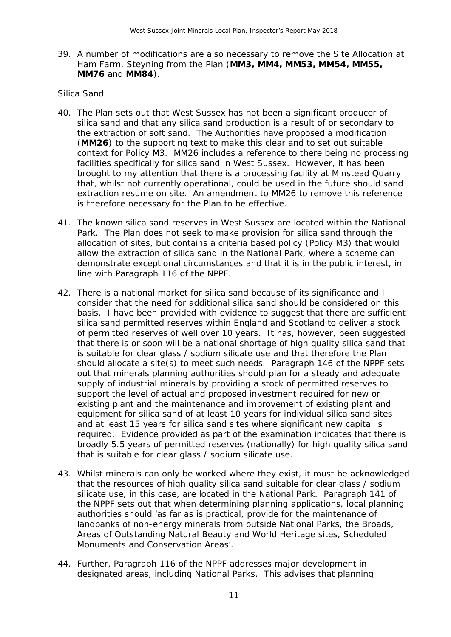39. A number of modifications are also necessary to remove the Site Allocation at Ham Farm, Steyning from the Plan (**MM3, MM4, MM53, MM54, MM55, MM76** and **MM84**).

#### *Silica Sand*

- 40. The Plan sets out that West Sussex has not been a significant producer of silica sand and that any silica sand production is a result of or secondary to the extraction of soft sand. The Authorities have proposed a modification (**MM26**) to the supporting text to make this clear and to set out suitable context for Policy M3. MM26 includes a reference to there being no processing facilities specifically for silica sand in West Sussex. However, it has been brought to my attention that there is a processing facility at Minstead Quarry that, whilst not currently operational, could be used in the future should sand extraction resume on site. An amendment to MM26 to remove this reference is therefore necessary for the Plan to be effective.
- 41. The known silica sand reserves in West Sussex are located within the National Park. The Plan does not seek to make provision for silica sand through the allocation of sites, but contains a criteria based policy (Policy M3) that would allow the extraction of silica sand in the National Park, where a scheme can demonstrate exceptional circumstances and that it is in the public interest, in line with Paragraph 116 of the NPPF.
- 42. There is a national market for silica sand because of its significance and I consider that the need for additional silica sand should be considered on this basis. I have been provided with evidence to suggest that there are sufficient silica sand permitted reserves within England and Scotland to deliver a stock of permitted reserves of well over 10 years. It has, however, been suggested that there is or soon will be a national shortage of high quality silica sand that is suitable for clear glass / sodium silicate use and that therefore the Plan should allocate a site(s) to meet such needs. Paragraph 146 of the NPPF sets out that minerals planning authorities should plan for a steady and adequate supply of industrial minerals by providing a stock of permitted reserves to support the level of actual and proposed investment required for new or existing plant and the maintenance and improvement of existing plant and equipment for silica sand of at least 10 years for individual silica sand sites and at least 15 years for silica sand sites where significant new capital is required. Evidence provided as part of the examination indicates that there is broadly 5.5 years of permitted reserves (nationally) for high quality silica sand that is suitable for clear glass / sodium silicate use.
- 43. Whilst minerals can only be worked where they exist, it must be acknowledged that the resources of high quality silica sand suitable for clear glass / sodium silicate use, in this case, are located in the National Park. Paragraph 141 of the NPPF sets out that when determining planning applications, local planning authorities should '*as far as is practical, provide for the maintenance of landbanks of non-energy minerals from outside National Parks, the Broads, Areas of Outstanding Natural Beauty and World Heritage sites, Scheduled Monuments and Conservation Areas'*.
- 44. Further, Paragraph 116 of the NPPF addresses major development in designated areas, including National Parks. This advises that planning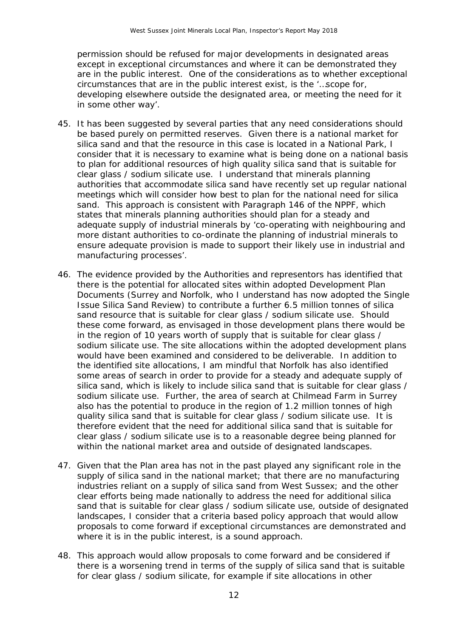permission should be refused for major developments in designated areas except in exceptional circumstances and where it can be demonstrated they are in the public interest. One of the considerations as to whether exceptional circumstances that are in the public interest exist, is the *'…scope for, developing elsewhere outside the designated area, or meeting the need for it in some other way*'.

- 45. It has been suggested by several parties that any need considerations should be based purely on permitted reserves. Given there is a national market for silica sand and that the resource in this case is located in a National Park, I consider that it is necessary to examine what is being done on a national basis to plan for additional resources of high quality silica sand that is suitable for clear glass / sodium silicate use. I understand that minerals planning authorities that accommodate silica sand have recently set up regular national meetings which will consider how best to plan for the national need for silica sand. This approach is consistent with Paragraph 146 of the NPPF, which states that minerals planning authorities should plan for a steady and adequate supply of industrial minerals by *'co-operating with neighbouring and more distant authorities to co-ordinate the planning of industrial minerals to ensure adequate provision is made to support their likely use in industrial and manufacturing processes*'.
- 46. The evidence provided by the Authorities and representors has identified that there is the potential for allocated sites within adopted Development Plan Documents (Surrey and Norfolk, who I understand has now adopted the Single Issue Silica Sand Review) to contribute a further 6.5 million tonnes of silica sand resource that is suitable for clear glass / sodium silicate use. Should these come forward, as envisaged in those development plans there would be in the region of 10 years worth of supply that is suitable for clear glass / sodium silicate use. The site allocations within the adopted development plans would have been examined and considered to be deliverable. In addition to the identified site allocations, I am mindful that Norfolk has also identified some areas of search in order to provide for a steady and adequate supply of silica sand, which is likely to include silica sand that is suitable for clear glass / sodium silicate use. Further, the area of search at Chilmead Farm in Surrey also has the potential to produce in the region of 1.2 million tonnes of high quality silica sand that is suitable for clear glass / sodium silicate use. It is therefore evident that the need for additional silica sand that is suitable for clear glass / sodium silicate use is to a reasonable degree being planned for within the national market area and outside of designated landscapes.
- 47. Given that the Plan area has not in the past played any significant role in the supply of silica sand in the national market; that there are no manufacturing industries reliant on a supply of silica sand from West Sussex; and the other clear efforts being made nationally to address the need for additional silica sand that is suitable for clear glass / sodium silicate use, outside of designated landscapes, I consider that a criteria based policy approach that would allow proposals to come forward if exceptional circumstances are demonstrated and where it is in the public interest, is a sound approach.
- 48. This approach would allow proposals to come forward and be considered if there is a worsening trend in terms of the supply of silica sand that is suitable for clear glass / sodium silicate, for example if site allocations in other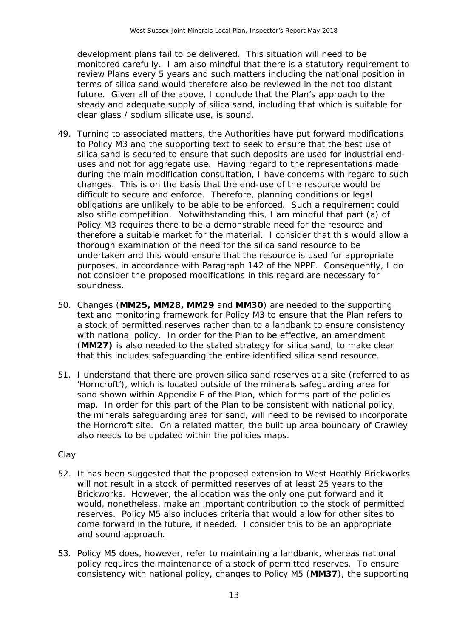development plans fail to be delivered. This situation will need to be monitored carefully. I am also mindful that there is a statutory requirement to review Plans every 5 years and such matters including the national position in terms of silica sand would therefore also be reviewed in the not too distant future. Given all of the above, I conclude that the Plan's approach to the steady and adequate supply of silica sand, including that which is suitable for clear glass / sodium silicate use, is sound.

- 49. Turning to associated matters, the Authorities have put forward modifications to Policy M3 and the supporting text to seek to ensure that the best use of silica sand is secured to ensure that such deposits are used for industrial enduses and not for aggregate use. Having regard to the representations made during the main modification consultation, I have concerns with regard to such changes. This is on the basis that the end-use of the resource would be difficult to secure and enforce. Therefore, planning conditions or legal obligations are unlikely to be able to be enforced. Such a requirement could also stifle competition. Notwithstanding this, I am mindful that part (a) of Policy M3 requires there to be a demonstrable need for the resource and therefore a suitable market for the material. I consider that this would allow a thorough examination of the need for the silica sand resource to be undertaken and this would ensure that the resource is used for appropriate purposes, in accordance with Paragraph 142 of the NPPF. Consequently, I do not consider the proposed modifications in this regard are necessary for soundness.
- 50. Changes (**MM25, MM28, MM29** and **MM30**) are needed to the supporting text and monitoring framework for Policy M3 to ensure that the Plan refers to a stock of permitted reserves rather than to a landbank to ensure consistency with national policy. In order for the Plan to be effective, an amendment (**MM27)** is also needed to the stated strategy for silica sand, to make clear that this includes safeguarding the entire identified silica sand resource.
- 51. I understand that there are proven silica sand reserves at a site (referred to as 'Horncroft'), which is located outside of the minerals safeguarding area for sand shown within Appendix E of the Plan, which forms part of the policies map. In order for this part of the Plan to be consistent with national policy, the minerals safeguarding area for sand, will need to be revised to incorporate the Horncroft site. On a related matter, the built up area boundary of Crawley also needs to be updated within the policies maps.

#### *Clay*

- 52. It has been suggested that the proposed extension to West Hoathly Brickworks will not result in a stock of permitted reserves of at least 25 years to the Brickworks. However, the allocation was the only one put forward and it would, nonetheless, make an important contribution to the stock of permitted reserves. Policy M5 also includes criteria that would allow for other sites to come forward in the future, if needed. I consider this to be an appropriate and sound approach.
- 53. Policy M5 does, however, refer to maintaining a landbank, whereas national policy requires the maintenance of a stock of permitted reserves. To ensure consistency with national policy, changes to Policy M5 (**MM37**), the supporting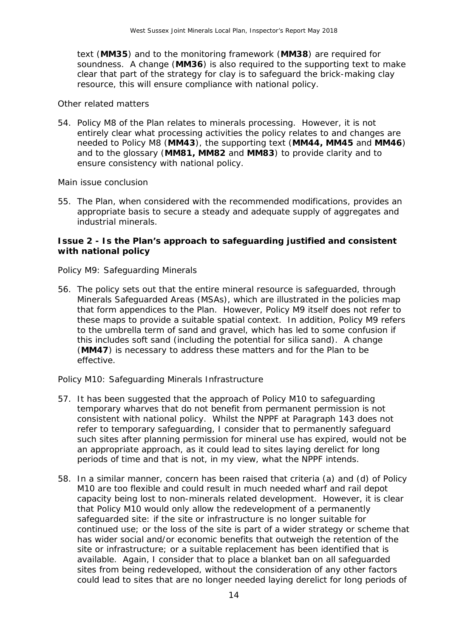text (**MM35**) and to the monitoring framework (**MM38**) are required for soundness. A change (**MM36**) is also required to the supporting text to make clear that part of the strategy for clay is to safeguard the brick-making clay resource, this will ensure compliance with national policy.

#### *Other related matters*

54. Policy M8 of the Plan relates to minerals processing. However, it is not entirely clear what processing activities the policy relates to and changes are needed to Policy M8 (**MM43**), the supporting text (**MM44, MM45** and **MM46**) and to the glossary (**MM81, MM82** and **MM83**) to provide clarity and to ensure consistency with national policy.

#### *Main issue conclusion*

55. The Plan, when considered with the recommended modifications, provides an appropriate basis to secure a steady and adequate supply of aggregates and industrial minerals.

#### **Issue 2 - Is the Plan's approach to safeguarding justified and consistent with national policy**

#### *Policy M9: Safeguarding Minerals*

56. The policy sets out that the entire mineral resource is safeguarded, through Minerals Safeguarded Areas (MSAs), which are illustrated in the policies map that form appendices to the Plan. However, Policy M9 itself does not refer to these maps to provide a suitable spatial context. In addition, Policy M9 refers to the umbrella term of sand and gravel, which has led to some confusion if this includes soft sand (including the potential for silica sand). A change (**MM47**) is necessary to address these matters and for the Plan to be effective.

#### *Policy M10: Safeguarding Minerals Infrastructure*

- 57. It has been suggested that the approach of Policy M10 to safeguarding temporary wharves that do not benefit from permanent permission is not consistent with national policy. Whilst the NPPF at Paragraph 143 does not refer to temporary safeguarding, I consider that to permanently safeguard such sites after planning permission for mineral use has expired, would not be an appropriate approach, as it could lead to sites laying derelict for long periods of time and that is not, in my view, what the NPPF intends.
- 58. In a similar manner, concern has been raised that criteria (a) and (d) of Policy M10 are too flexible and could result in much needed wharf and rail depot capacity being lost to non-minerals related development. However, it is clear that Policy M10 would only allow the redevelopment of a permanently safeguarded site: if the site or infrastructure is no longer suitable for continued use; or the loss of the site is part of a wider strategy or scheme that has wider social and/or economic benefits that outweigh the retention of the site or infrastructure; or a suitable replacement has been identified that is available. Again, I consider that to place a blanket ban on all safeguarded sites from being redeveloped, without the consideration of any other factors could lead to sites that are no longer needed laying derelict for long periods of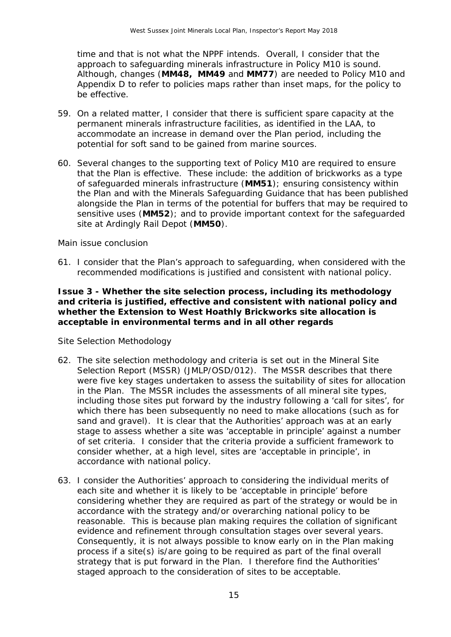time and that is not what the NPPF intends. Overall, I consider that the approach to safeguarding minerals infrastructure in Policy M10 is sound. Although, changes (**MM48, MM49** and **MM77**) are needed to Policy M10 and Appendix D to refer to policies maps rather than inset maps, for the policy to be effective.

- 59. On a related matter, I consider that there is sufficient spare capacity at the permanent minerals infrastructure facilities, as identified in the LAA, to accommodate an increase in demand over the Plan period, including the potential for soft sand to be gained from marine sources.
- 60. Several changes to the supporting text of Policy M10 are required to ensure that the Plan is effective. These include: the addition of brickworks as a type of safeguarded minerals infrastructure (**MM51**); ensuring consistency within the Plan and with the Minerals Safeguarding Guidance that has been published alongside the Plan in terms of the potential for buffers that may be required to sensitive uses (**MM52**); and to provide important context for the safeguarded site at Ardingly Rail Depot (**MM50**).

#### *Main issue conclusion*

61. I consider that the Plan's approach to safeguarding, when considered with the recommended modifications is justified and consistent with national policy.

#### **Issue 3 - Whether the site selection process, including its methodology and criteria is justified, effective and consistent with national policy and whether the Extension to West Hoathly Brickworks site allocation is acceptable in environmental terms and in all other regards**

#### *Site Selection Methodology*

- 62. The site selection methodology and criteria is set out in the Mineral Site Selection Report (MSSR) (JMLP/OSD/012). The MSSR describes that there were five key stages undertaken to assess the suitability of sites for allocation in the Plan. The MSSR includes the assessments of all mineral site types, including those sites put forward by the industry following a 'call for sites', for which there has been subsequently no need to make allocations (such as for sand and gravel). It is clear that the Authorities' approach was at an early stage to assess whether a site was 'acceptable in principle' against a number of set criteria. I consider that the criteria provide a sufficient framework to consider whether, at a high level, sites are 'acceptable in principle', in accordance with national policy.
- 63. I consider the Authorities' approach to considering the individual merits of each site and whether it is likely to be 'acceptable in principle' before considering whether they are required as part of the strategy or would be in accordance with the strategy and/or overarching national policy to be reasonable. This is because plan making requires the collation of significant evidence and refinement through consultation stages over several years. Consequently, it is not always possible to know early on in the Plan making process if a site(s) is/are going to be required as part of the final overall strategy that is put forward in the Plan. I therefore find the Authorities' staged approach to the consideration of sites to be acceptable.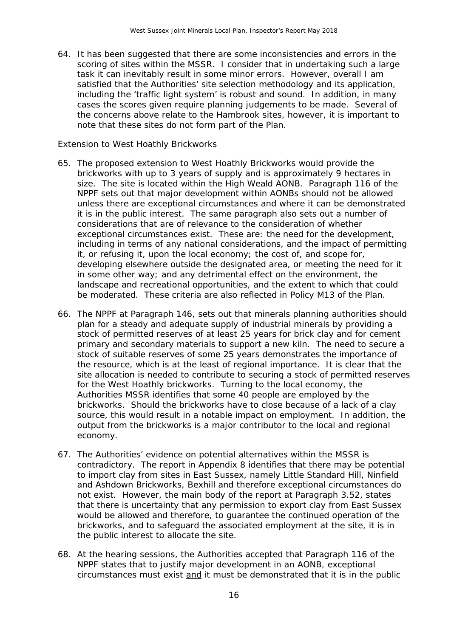64. It has been suggested that there are some inconsistencies and errors in the scoring of sites within the MSSR. I consider that in undertaking such a large task it can inevitably result in some minor errors. However, overall I am satisfied that the Authorities' site selection methodology and its application, including the 'traffic light system' is robust and sound. In addition, in many cases the scores given require planning judgements to be made. Several of the concerns above relate to the Hambrook sites, however, it is important to note that these sites do not form part of the Plan.

#### *Extension to West Hoathly Brickworks*

- 65. The proposed extension to West Hoathly Brickworks would provide the brickworks with up to 3 years of supply and is approximately 9 hectares in size. The site is located within the High Weald AONB. Paragraph 116 of the NPPF sets out that major development within AONBs should not be allowed unless there are exceptional circumstances and where it can be demonstrated it is in the public interest. The same paragraph also sets out a number of considerations that are of relevance to the consideration of whether exceptional circumstances exist. These are: the need for the development, including in terms of any national considerations, and the impact of permitting it, or refusing it, upon the local economy; the cost of, and scope for, developing elsewhere outside the designated area, or meeting the need for it in some other way; and any detrimental effect on the environment, the landscape and recreational opportunities, and the extent to which that could be moderated. These criteria are also reflected in Policy M13 of the Plan.
- 66. The NPPF at Paragraph 146, sets out that minerals planning authorities should plan for a steady and adequate supply of industrial minerals by providing a stock of permitted reserves of at least 25 years for brick clay and for cement primary and secondary materials to support a new kiln. The need to secure a stock of suitable reserves of some 25 years demonstrates the importance of the resource, which is at the least of regional importance. It is clear that the site allocation is needed to contribute to securing a stock of permitted reserves for the West Hoathly brickworks. Turning to the local economy, the Authorities MSSR identifies that some 40 people are employed by the brickworks. Should the brickworks have to close because of a lack of a clay source, this would result in a notable impact on employment. In addition, the output from the brickworks is a major contributor to the local and regional economy.
- 67. The Authorities' evidence on potential alternatives within the MSSR is contradictory. The report in Appendix 8 identifies that there may be potential to import clay from sites in East Sussex, namely Little Standard Hill, Ninfield and Ashdown Brickworks, Bexhill and therefore exceptional circumstances do not exist. However, the main body of the report at Paragraph 3.52, states that there is uncertainty that any permission to export clay from East Sussex would be allowed and therefore, to guarantee the continued operation of the brickworks, and to safeguard the associated employment at the site, it is in the public interest to allocate the site.
- 68. At the hearing sessions, the Authorities accepted that Paragraph 116 of the NPPF states that to justify major development in an AONB, exceptional circumstances must exist and it must be demonstrated that it is in the public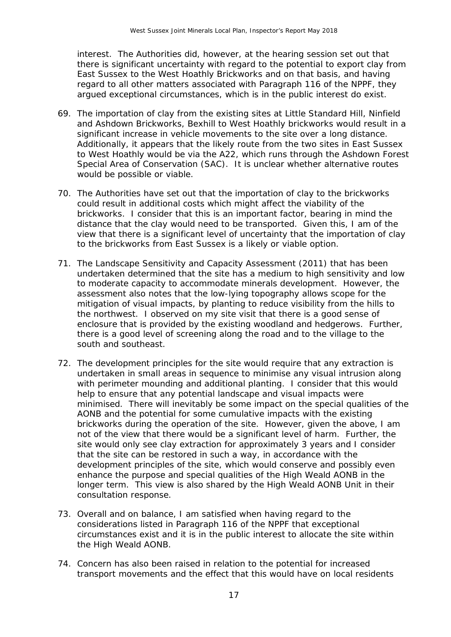interest. The Authorities did, however, at the hearing session set out that there is significant uncertainty with regard to the potential to export clay from East Sussex to the West Hoathly Brickworks and on that basis, and having regard to all other matters associated with Paragraph 116 of the NPPF, they argued exceptional circumstances, which is in the public interest do exist.

- 69. The importation of clay from the existing sites at Little Standard Hill, Ninfield and Ashdown Brickworks, Bexhill to West Hoathly brickworks would result in a significant increase in vehicle movements to the site over a long distance. Additionally, it appears that the likely route from the two sites in East Sussex to West Hoathly would be via the A22, which runs through the Ashdown Forest Special Area of Conservation (SAC). It is unclear whether alternative routes would be possible or viable.
- 70. The Authorities have set out that the importation of clay to the brickworks could result in additional costs which might affect the viability of the brickworks. I consider that this is an important factor, bearing in mind the distance that the clay would need to be transported. Given this, I am of the view that there is a significant level of uncertainty that the importation of clay to the brickworks from East Sussex is a likely or viable option.
- 71. The Landscape Sensitivity and Capacity Assessment (2011) that has been undertaken determined that the site has a medium to high sensitivity and low to moderate capacity to accommodate minerals development. However, the assessment also notes that the low-lying topography allows scope for the mitigation of visual impacts, by planting to reduce visibility from the hills to the northwest. I observed on my site visit that there is a good sense of enclosure that is provided by the existing woodland and hedgerows. Further, there is a good level of screening along the road and to the village to the south and southeast.
- 72. The development principles for the site would require that any extraction is undertaken in small areas in sequence to minimise any visual intrusion along with perimeter mounding and additional planting. I consider that this would help to ensure that any potential landscape and visual impacts were minimised. There will inevitably be some impact on the special qualities of the AONB and the potential for some cumulative impacts with the existing brickworks during the operation of the site. However, given the above, I am not of the view that there would be a significant level of harm. Further, the site would only see clay extraction for approximately 3 years and I consider that the site can be restored in such a way, in accordance with the development principles of the site, which would conserve and possibly even enhance the purpose and special qualities of the High Weald AONB in the longer term. This view is also shared by the High Weald AONB Unit in their consultation response.
- 73. Overall and on balance, I am satisfied when having regard to the considerations listed in Paragraph 116 of the NPPF that exceptional circumstances exist and it is in the public interest to allocate the site within the High Weald AONB.
- 74. Concern has also been raised in relation to the potential for increased transport movements and the effect that this would have on local residents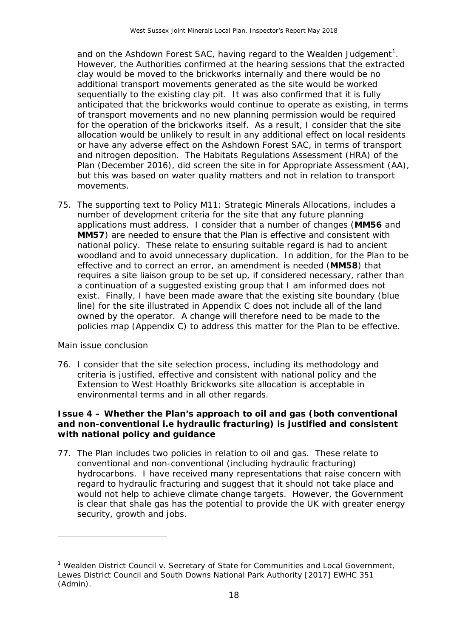and on the Ashdown Forest SAC, having regard to the Wealden Judgement<sup>[1](#page-17-0)</sup>. However, the Authorities confirmed at the hearing sessions that the extracted clay would be moved to the brickworks internally and there would be no additional transport movements generated as the site would be worked sequentially to the existing clay pit. It was also confirmed that it is fully anticipated that the brickworks would continue to operate as existing, in terms of transport movements and no new planning permission would be required for the operation of the brickworks itself. As a result, I consider that the site allocation would be unlikely to result in any additional effect on local residents or have any adverse effect on the Ashdown Forest SAC, in terms of transport and nitrogen deposition. The Habitats Regulations Assessment (HRA) of the Plan (December 2016), did screen the site in for Appropriate Assessment (AA), but this was based on water quality matters and not in relation to transport movements.

75. The supporting text to Policy M11: Strategic Minerals Allocations, includes a number of development criteria for the site that any future planning applications must address. I consider that a number of changes (**MM56** and **MM57**) are needed to ensure that the Plan is effective and consistent with national policy. These relate to ensuring suitable regard is had to ancient woodland and to avoid unnecessary duplication. In addition, for the Plan to be effective and to correct an error, an amendment is needed (**MM58**) that requires a site liaison group to be set up, if considered necessary, rather than a continuation of a suggested existing group that I am informed does not exist. Finally, I have been made aware that the existing site boundary (blue line) for the site illustrated in Appendix C does not include all of the land owned by the operator. A change will therefore need to be made to the policies map (Appendix C) to address this matter for the Plan to be effective.

#### *Main issue conclusion*

1

76. I consider that the site selection process, including its methodology and criteria is justified, effective and consistent with national policy and the Extension to West Hoathly Brickworks site allocation is acceptable in environmental terms and in all other regards.

#### **Issue 4 – Whether the Plan's approach to oil and gas (both conventional and non-conventional i.e hydraulic fracturing) is justified and consistent with national policy and guidance**

77. The Plan includes two policies in relation to oil and gas. These relate to conventional and non-conventional (including hydraulic fracturing) hydrocarbons. I have received many representations that raise concern with regard to hydraulic fracturing and suggest that it should not take place and would not help to achieve climate change targets. However, the Government is clear that shale gas has the potential to provide the UK with greater energy security, growth and jobs.

<span id="page-17-0"></span><sup>&</sup>lt;sup>1</sup> Wealden District Council v. Secretary of State for Communities and Local Government, Lewes District Council and South Downs National Park Authority [2017] EWHC 351 (Admin).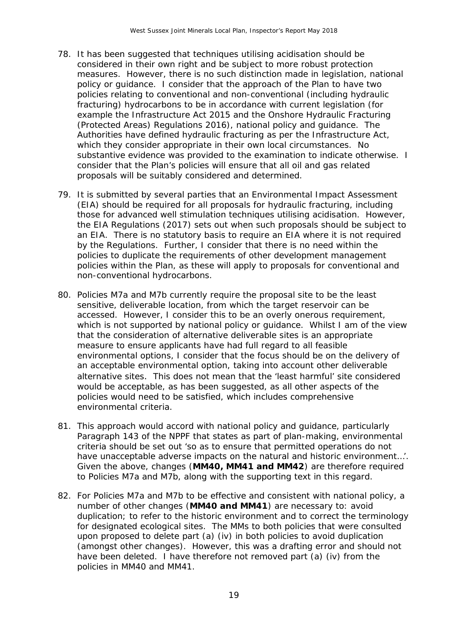- 78. It has been suggested that techniques utilising acidisation should be considered in their own right and be subject to more robust protection measures. However, there is no such distinction made in legislation, national policy or guidance. I consider that the approach of the Plan to have two policies relating to conventional and non-conventional (including hydraulic fracturing) hydrocarbons to be in accordance with current legislation (for example the Infrastructure Act 2015 and the Onshore Hydraulic Fracturing (Protected Areas) Regulations 2016), national policy and guidance. The Authorities have defined hydraulic fracturing as per the Infrastructure Act, which they consider appropriate in their own local circumstances. No substantive evidence was provided to the examination to indicate otherwise. I consider that the Plan's policies will ensure that all oil and gas related proposals will be suitably considered and determined.
- 79. It is submitted by several parties that an Environmental Impact Assessment (EIA) should be required for all proposals for hydraulic fracturing, including those for advanced well stimulation techniques utilising acidisation. However, the EIA Regulations (2017) sets out when such proposals should be subject to an EIA. There is no statutory basis to require an EIA where it is not required by the Regulations. Further, I consider that there is no need within the policies to duplicate the requirements of other development management policies within the Plan, as these will apply to proposals for conventional and non-conventional hydrocarbons.
- 80. Policies M7a and M7b currently require the proposal site to be the least sensitive, deliverable location, from which the target reservoir can be accessed. However, I consider this to be an overly onerous requirement, which is not supported by national policy or guidance. Whilst I am of the view that the consideration of alternative deliverable sites is an appropriate measure to ensure applicants have had full regard to all feasible environmental options, I consider that the focus should be on the delivery of an acceptable environmental option, taking into account other deliverable alternative sites. This does not mean that the 'least harmful' site considered would be acceptable, as has been suggested, as all other aspects of the policies would need to be satisfied, which includes comprehensive environmental criteria.
- 81. This approach would accord with national policy and guidance, particularly Paragraph 143 of the NPPF that states as part of plan-making, environmental criteria should be set out '*so as to ensure that permitted operations do not have unacceptable adverse impacts on the natural and historic environment…*'. Given the above, changes (**MM40, MM41 and MM42**) are therefore required to Policies M7a and M7b, along with the supporting text in this regard.
- 82. For Policies M7a and M7b to be effective and consistent with national policy, a number of other changes (**MM40 and MM41**) are necessary to: avoid duplication; to refer to the historic environment and to correct the terminology for designated ecological sites. The MMs to both policies that were consulted upon proposed to delete part (a) (iv) in both policies to avoid duplication (amongst other changes). However, this was a drafting error and should not have been deleted. I have therefore not removed part (a) (iv) from the policies in MM40 and MM41.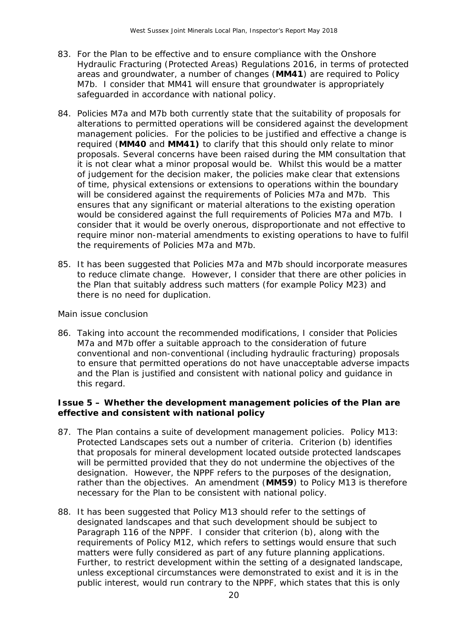- 83. For the Plan to be effective and to ensure compliance with the Onshore Hydraulic Fracturing (Protected Areas) Regulations 2016, in terms of protected areas and groundwater, a number of changes (**MM41**) are required to Policy M7b. I consider that MM41 will ensure that groundwater is appropriately safeguarded in accordance with national policy.
- 84. Policies M7a and M7b both currently state that the suitability of proposals for alterations to permitted operations will be considered against the development management policies. For the policies to be justified and effective a change is required (**MM40** and **MM41)** to clarify that this should only relate to minor proposals. Several concerns have been raised during the MM consultation that it is not clear what a minor proposal would be. Whilst this would be a matter of judgement for the decision maker, the policies make clear that extensions of time, physical extensions or extensions to operations within the boundary will be considered against the requirements of Policies M7a and M7b. This ensures that any significant or material alterations to the existing operation would be considered against the full requirements of Policies M7a and M7b. I consider that it would be overly onerous, disproportionate and not effective to require minor non-material amendments to existing operations to have to fulfil the requirements of Policies M7a and M7b.
- 85. It has been suggested that Policies M7a and M7b should incorporate measures to reduce climate change. However, I consider that there are other policies in the Plan that suitably address such matters (for example Policy M23) and there is no need for duplication.

#### *Main issue conclusion*

86. Taking into account the recommended modifications, I consider that Policies M7a and M7b offer a suitable approach to the consideration of future conventional and non-conventional (including hydraulic fracturing) proposals to ensure that permitted operations do not have unacceptable adverse impacts and the Plan is justified and consistent with national policy and guidance in this regard.

#### **Issue 5 – Whether the development management policies of the Plan are effective and consistent with national policy**

- 87. The Plan contains a suite of development management policies. Policy M13: Protected Landscapes sets out a number of criteria. Criterion (b) identifies that proposals for mineral development located outside protected landscapes will be permitted provided that they do not undermine the objectives of the designation. However, the NPPF refers to the purposes of the designation, rather than the objectives. An amendment (**MM59**) to Policy M13 is therefore necessary for the Plan to be consistent with national policy.
- 88. It has been suggested that Policy M13 should refer to the settings of designated landscapes and that such development should be subject to Paragraph 116 of the NPPF. I consider that criterion (b), along with the requirements of Policy M12, which refers to settings would ensure that such matters were fully considered as part of any future planning applications. Further, to restrict development within the setting of a designated landscape, unless exceptional circumstances were demonstrated to exist and it is in the public interest, would run contrary to the NPPF, which states that this is only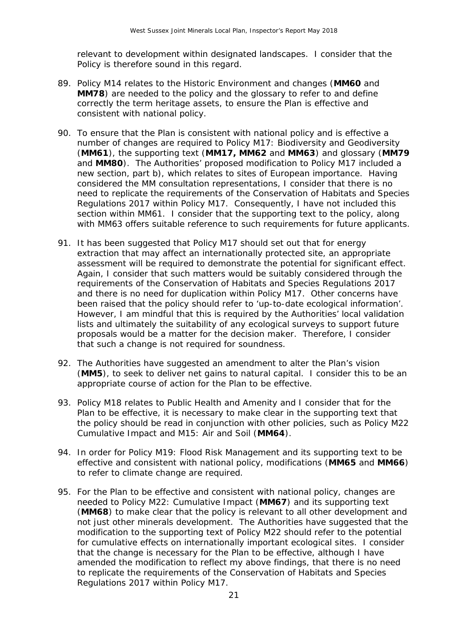relevant to development within designated landscapes. I consider that the Policy is therefore sound in this regard.

- 89. Policy M14 relates to the Historic Environment and changes (**MM60** and **MM78**) are needed to the policy and the glossary to refer to and define correctly the term heritage assets, to ensure the Plan is effective and consistent with national policy.
- 90. To ensure that the Plan is consistent with national policy and is effective a number of changes are required to Policy M17: Biodiversity and Geodiversity (**MM61**), the supporting text (**MM17, MM62** and **MM63**) and glossary (**MM79**  and **MM80**). The Authorities' proposed modification to Policy M17 included a new section, part b), which relates to sites of European importance. Having considered the MM consultation representations, I consider that there is no need to replicate the requirements of the Conservation of Habitats and Species Regulations 2017 within Policy M17. Consequently, I have not included this section within MM61. I consider that the supporting text to the policy, along with MM63 offers suitable reference to such requirements for future applicants.
- 91. It has been suggested that Policy M17 should set out that for energy extraction that may affect an internationally protected site, an appropriate assessment will be required to demonstrate the potential for significant effect. Again, I consider that such matters would be suitably considered through the requirements of the Conservation of Habitats and Species Regulations 2017 and there is no need for duplication within Policy M17. Other concerns have been raised that the policy should refer to 'up-to-date ecological information'. However, I am mindful that this is required by the Authorities' local validation lists and ultimately the suitability of any ecological surveys to support future proposals would be a matter for the decision maker. Therefore, I consider that such a change is not required for soundness.
- 92. The Authorities have suggested an amendment to alter the Plan's vision (**MM5**), to seek to deliver net gains to natural capital. I consider this to be an appropriate course of action for the Plan to be effective.
- 93. Policy M18 relates to Public Health and Amenity and I consider that for the Plan to be effective, it is necessary to make clear in the supporting text that the policy should be read in conjunction with other policies, such as Policy M22 Cumulative Impact and M15: Air and Soil (**MM64**).
- 94. In order for Policy M19: Flood Risk Management and its supporting text to be effective and consistent with national policy, modifications (**MM65** and **MM66**) to refer to climate change are required.
- 95. For the Plan to be effective and consistent with national policy, changes are needed to Policy M22: Cumulative Impact (**MM67**) and its supporting text (**MM68**) to make clear that the policy is relevant to all other development and not just other minerals development. The Authorities have suggested that the modification to the supporting text of Policy M22 should refer to the potential for cumulative effects on internationally important ecological sites. I consider that the change is necessary for the Plan to be effective, although I have amended the modification to reflect my above findings, that there is no need to replicate the requirements of the Conservation of Habitats and Species Regulations 2017 within Policy M17.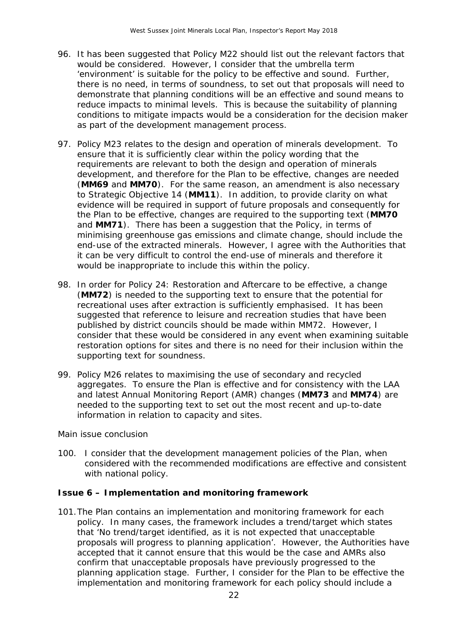- 96. It has been suggested that Policy M22 should list out the relevant factors that would be considered. However, I consider that the umbrella term 'environment' is suitable for the policy to be effective and sound. Further, there is no need, in terms of soundness, to set out that proposals will need to demonstrate that planning conditions will be an effective and sound means to reduce impacts to minimal levels. This is because the suitability of planning conditions to mitigate impacts would be a consideration for the decision maker as part of the development management process.
- 97. Policy M23 relates to the design and operation of minerals development. To ensure that it is sufficiently clear within the policy wording that the requirements are relevant to both the design and operation of minerals development, and therefore for the Plan to be effective, changes are needed (**MM69** and **MM70**). For the same reason, an amendment is also necessary to Strategic Objective 14 (**MM11**). In addition, to provide clarity on what evidence will be required in support of future proposals and consequently for the Plan to be effective, changes are required to the supporting text (**MM70**  and **MM71**). There has been a suggestion that the Policy, in terms of minimising greenhouse gas emissions and climate change, should include the end-use of the extracted minerals. However, I agree with the Authorities that it can be very difficult to control the end-use of minerals and therefore it would be inappropriate to include this within the policy.
- 98. In order for Policy 24: Restoration and Aftercare to be effective, a change (**MM72**) is needed to the supporting text to ensure that the potential for recreational uses after extraction is sufficiently emphasised. It has been suggested that reference to leisure and recreation studies that have been published by district councils should be made within MM72. However, I consider that these would be considered in any event when examining suitable restoration options for sites and there is no need for their inclusion within the supporting text for soundness.
- 99. Policy M26 relates to maximising the use of secondary and recycled aggregates. To ensure the Plan is effective and for consistency with the LAA and latest Annual Monitoring Report (AMR) changes (**MM73** and **MM74**) are needed to the supporting text to set out the most recent and up-to-date information in relation to capacity and sites.

#### *Main issue conclusion*

100. I consider that the development management policies of the Plan, when considered with the recommended modifications are effective and consistent with national policy.

#### **Issue 6 – Implementation and monitoring framework**

101.The Plan contains an implementation and monitoring framework for each policy. In many cases, the framework includes a trend/target which states that '*No trend/target identified, as it is not expected that unacceptable proposals will progress to planning application'*. However, the Authorities have accepted that it cannot ensure that this would be the case and AMRs also confirm that unacceptable proposals have previously progressed to the planning application stage. Further, I consider for the Plan to be effective the implementation and monitoring framework for each policy should include a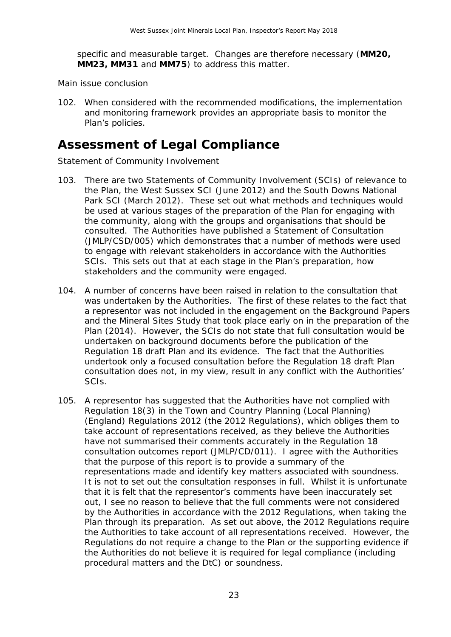specific and measurable target. Changes are therefore necessary (**MM20, MM23, MM31** and **MM75**) to address this matter.

*Main issue conclusion*

102. When considered with the recommended modifications, the implementation and monitoring framework provides an appropriate basis to monitor the Plan's policies.

## **Assessment of Legal Compliance**

*Statement of Community Involvement*

- 103. There are two Statements of Community Involvement (SCIs) of relevance to the Plan, the West Sussex SCI (June 2012) and the South Downs National Park SCI (March 2012). These set out what methods and techniques would be used at various stages of the preparation of the Plan for engaging with the community, along with the groups and organisations that should be consulted. The Authorities have published a Statement of Consultation (JMLP/CSD/005) which demonstrates that a number of methods were used to engage with relevant stakeholders in accordance with the Authorities SCIs. This sets out that at each stage in the Plan's preparation, how stakeholders and the community were engaged.
- 104. A number of concerns have been raised in relation to the consultation that was undertaken by the Authorities. The first of these relates to the fact that a representor was not included in the engagement on the Background Papers and the Mineral Sites Study that took place early on in the preparation of the Plan (2014). However, the SCIs do not state that full consultation would be undertaken on background documents before the publication of the Regulation 18 draft Plan and its evidence. The fact that the Authorities undertook only a focused consultation before the Regulation 18 draft Plan consultation does not, in my view, result in any conflict with the Authorities' SCIs.
- 105. A representor has suggested that the Authorities have not complied with Regulation 18(3) in the Town and Country Planning (Local Planning) (England) Regulations 2012 (the 2012 Regulations), which obliges them to take account of representations received, as they believe the Authorities have not summarised their comments accurately in the Regulation 18 consultation outcomes report (JMLP/CD/011). I agree with the Authorities that the purpose of this report is to provide a summary of the representations made and identify key matters associated with soundness. It is not to set out the consultation responses in full. Whilst it is unfortunate that it is felt that the representor's comments have been inaccurately set out, I see no reason to believe that the full comments were not considered by the Authorities in accordance with the 2012 Regulations, when taking the Plan through its preparation. As set out above, the 2012 Regulations require the Authorities to take account of all representations received. However, the Regulations do not require a change to the Plan or the supporting evidence if the Authorities do not believe it is required for legal compliance (including procedural matters and the DtC) or soundness.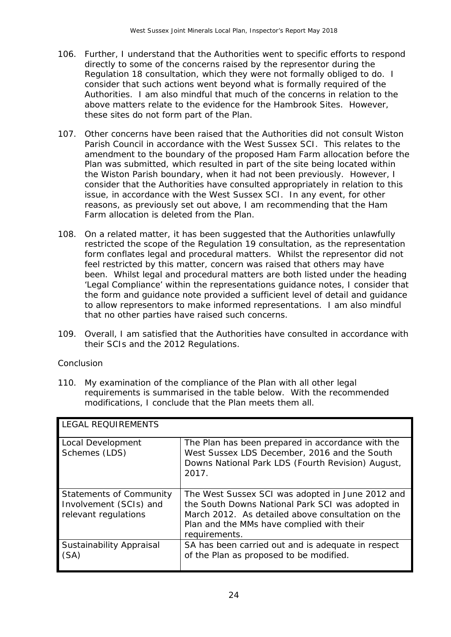- 106. Further, I understand that the Authorities went to specific efforts to respond directly to some of the concerns raised by the representor during the Regulation 18 consultation, which they were not formally obliged to do. I consider that such actions went beyond what is formally required of the Authorities. I am also mindful that much of the concerns in relation to the above matters relate to the evidence for the Hambrook Sites. However, these sites do not form part of the Plan.
- 107. Other concerns have been raised that the Authorities did not consult Wiston Parish Council in accordance with the West Sussex SCI. This relates to the amendment to the boundary of the proposed Ham Farm allocation before the Plan was submitted, which resulted in part of the site being located within the Wiston Parish boundary, when it had not been previously. However, I consider that the Authorities have consulted appropriately in relation to this issue, in accordance with the West Sussex SCI. In any event, for other reasons, as previously set out above, I am recommending that the Ham Farm allocation is deleted from the Plan.
- 108. On a related matter, it has been suggested that the Authorities unlawfully restricted the scope of the Regulation 19 consultation, as the representation form conflates legal and procedural matters. Whilst the representor did not feel restricted by this matter, concern was raised that others may have been. Whilst legal and procedural matters are both listed under the heading 'Legal Compliance' within the representations guidance notes, I consider that the form and guidance note provided a sufficient level of detail and guidance to allow representors to make informed representations. I am also mindful that no other parties have raised such concerns.
- 109. Overall, I am satisfied that the Authorities have consulted in accordance with their SCIs and the 2012 Regulations.

#### *Conclusion*

110. My examination of the compliance of the Plan with all other legal requirements is summarised in the table below. With the recommended modifications, I conclude that the Plan meets them all.

| <b>LEGAL REQUIREMENTS</b>                                                 |                                                                                                                                                                                                                         |  |  |
|---------------------------------------------------------------------------|-------------------------------------------------------------------------------------------------------------------------------------------------------------------------------------------------------------------------|--|--|
| Local Development<br>Schemes (LDS)                                        | The Plan has been prepared in accordance with the<br>West Sussex LDS December, 2016 and the South<br>Downs National Park LDS (Fourth Revision) August,<br>2017.                                                         |  |  |
| Statements of Community<br>Involvement (SCIs) and<br>relevant regulations | The West Sussex SCI was adopted in June 2012 and<br>the South Downs National Park SCI was adopted in<br>March 2012. As detailed above consultation on the<br>Plan and the MMs have complied with their<br>requirements. |  |  |
| Sustainability Appraisal<br>(SA)                                          | SA has been carried out and is adequate in respect<br>of the Plan as proposed to be modified.                                                                                                                           |  |  |